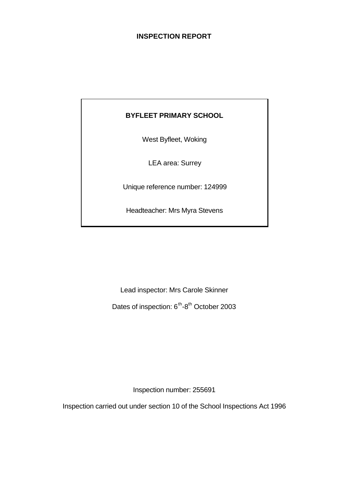# **INSPECTION REPORT**

# **BYFLEET PRIMARY SCHOOL**

West Byfleet, Woking

LEA area: Surrey

Unique reference number: 124999

Headteacher: Mrs Myra Stevens

Lead inspector: Mrs Carole Skinner

Dates of inspection: 6<sup>th</sup>-8<sup>th</sup> October 2003

Inspection number: 255691

Inspection carried out under section 10 of the School Inspections Act 1996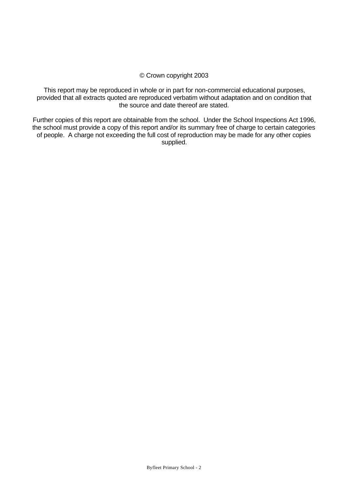#### © Crown copyright 2003

This report may be reproduced in whole or in part for non-commercial educational purposes, provided that all extracts quoted are reproduced verbatim without adaptation and on condition that the source and date thereof are stated.

Further copies of this report are obtainable from the school. Under the School Inspections Act 1996, the school must provide a copy of this report and/or its summary free of charge to certain categories of people. A charge not exceeding the full cost of reproduction may be made for any other copies supplied.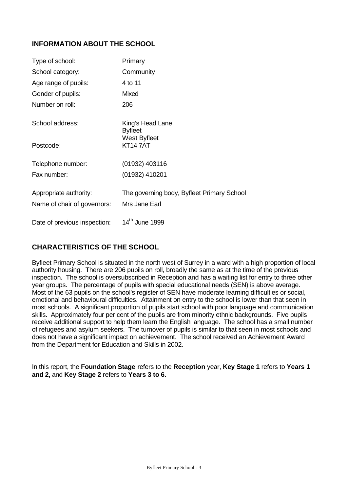# **INFORMATION ABOUT THE SCHOOL**

| Type of school:                                       | Primary                                                     |
|-------------------------------------------------------|-------------------------------------------------------------|
| School category:                                      | Community                                                   |
| Age range of pupils:                                  | 4 to 11                                                     |
| Gender of pupils:                                     | Mixed                                                       |
| Number on roll:                                       | 206                                                         |
| School address:                                       | King's Head Lane<br><b>Byfleet</b>                          |
| Postcode:                                             | West Byfleet<br><b>KT147AT</b>                              |
| Telephone number:                                     | (01932) 403116                                              |
| Fax number:                                           | (01932) 410201                                              |
| Appropriate authority:<br>Name of chair of governors: | The governing body, Byfleet Primary School<br>Mrs Jane Earl |
| Date of previous inspection:                          | 14 <sup>th</sup> June 1999                                  |

# **CHARACTERISTICS OF THE SCHOOL**

Byfleet Primary School is situated in the north west of Surrey in a ward with a high proportion of local authority housing. There are 206 pupils on roll, broadly the same as at the time of the previous inspection. The school is oversubscribed in Reception and has a waiting list for entry to three other year groups. The percentage of pupils with special educational needs (SEN) is above average. Most of the 63 pupils on the school's register of SEN have moderate learning difficulties or social, emotional and behavioural difficulties. Attainment on entry to the school is lower than that seen in most schools. A significant proportion of pupils start school with poor language and communication skills. Approximately four per cent of the pupils are from minority ethnic backgrounds. Five pupils receive additional support to help them learn the English language. The school has a small number of refugees and asylum seekers. The turnover of pupils is similar to that seen in most schools and does not have a significant impact on achievement. The school received an Achievement Award from the Department for Education and Skills in 2002.

In this report, the **Foundation Stage** refers to the **Reception** year, **Key Stage 1** refers to **Years 1 and 2,** and **Key Stage 2** refers to **Years 3 to 6.**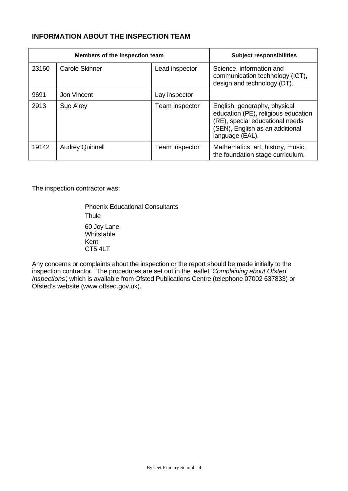# **INFORMATION ABOUT THE INSPECTION TEAM**

| Members of the inspection team |                        |                | <b>Subject responsibilities</b>                                                                                                                              |
|--------------------------------|------------------------|----------------|--------------------------------------------------------------------------------------------------------------------------------------------------------------|
| 23160                          | <b>Carole Skinner</b>  | Lead inspector | Science, information and<br>communication technology (ICT),<br>design and technology (DT).                                                                   |
| 9691                           | Jon Vincent            | Lay inspector  |                                                                                                                                                              |
| 2913                           | Sue Airey              | Team inspector | English, geography, physical<br>education (PE), religious education<br>(RE), special educational needs<br>(SEN), English as an additional<br>language (EAL). |
| 19142                          | <b>Audrey Quinnell</b> | Team inspector | Mathematics, art, history, music,<br>the foundation stage curriculum.                                                                                        |

The inspection contractor was:

Phoenix Educational Consultants **Thule** 60 Joy Lane **Whitstable** Kent CT5 4LT

Any concerns or complaints about the inspection or the report should be made initially to the inspection contractor. The procedures are set out in the leaflet *'Complaining about Ofsted Inspections'*, which is available from Ofsted Publications Centre (telephone 07002 637833) or Ofsted's website (www.oftsed.gov.uk).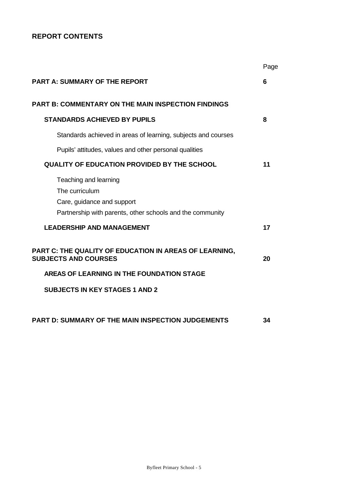# **REPORT CONTENTS**

|                                                                                                                                    | Page |
|------------------------------------------------------------------------------------------------------------------------------------|------|
| <b>PART A: SUMMARY OF THE REPORT</b>                                                                                               | 6    |
| <b>PART B: COMMENTARY ON THE MAIN INSPECTION FINDINGS</b>                                                                          |      |
| <b>STANDARDS ACHIEVED BY PUPILS</b>                                                                                                | 8    |
| Standards achieved in areas of learning, subjects and courses                                                                      |      |
| Pupils' attitudes, values and other personal qualities                                                                             |      |
| <b>QUALITY OF EDUCATION PROVIDED BY THE SCHOOL</b>                                                                                 | 11   |
| Teaching and learning<br>The curriculum<br>Care, guidance and support<br>Partnership with parents, other schools and the community |      |
| <b>LEADERSHIP AND MANAGEMENT</b>                                                                                                   | 17   |
| PART C: THE QUALITY OF EDUCATION IN AREAS OF LEARNING,<br><b>SUBJECTS AND COURSES</b>                                              | 20   |
| AREAS OF LEARNING IN THE FOUNDATION STAGE                                                                                          |      |
| <b>SUBJECTS IN KEY STAGES 1 AND 2</b>                                                                                              |      |
|                                                                                                                                    |      |
| <b>PART D: SUMMARY OF THE MAIN INSPECTION JUDGEMENTS</b>                                                                           | 34   |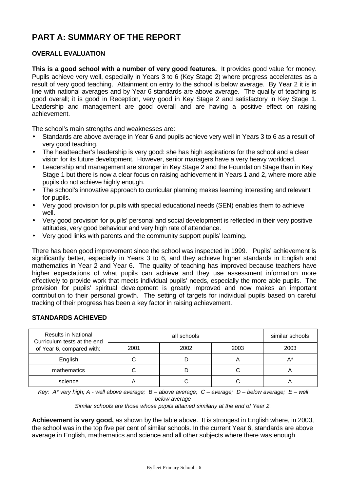# **PART A: SUMMARY OF THE REPORT**

# **OVERALL EVALUATION**

**This is a good school with a number of very good features.** It provides good value for money. Pupils achieve very well, especially in Years 3 to 6 (Key Stage 2) where progress accelerates as a result of very good teaching. Attainment on entry to the school is below average. By Year 2 it is in line with national averages and by Year 6 standards are above average. The quality of teaching is good overall; it is good in Reception, very good in Key Stage 2 and satisfactory in Key Stage 1. Leadership and management are good overall and are having a positive effect on raising achievement.

The school's main strengths and weaknesses are:

- Standards are above average in Year 6 and pupils achieve very well in Years 3 to 6 as a result of very good teaching.
- The headteacher's leadership is very good: she has high aspirations for the school and a clear vision for its future development. However, senior managers have a very heavy workload.
- Leadership and management are stronger in Key Stage 2 and the Foundation Stage than in Key Stage 1 but there is now a clear focus on raising achievement in Years 1 and 2, where more able pupils do not achieve highly enough.
- The school's innovative approach to curricular planning makes learning interesting and relevant for pupils.
- Very good provision for pupils with special educational needs (SEN) enables them to achieve well.
- Very good provision for pupils' personal and social development is reflected in their very positive attitudes, very good behaviour and very high rate of attendance.
- Very good links with parents and the community support pupils' learning.

There has been good improvement since the school was inspected in 1999. Pupils' achievement is significantly better, especially in Years 3 to 6, and they achieve higher standards in English and mathematics in Year 2 and Year 6. The quality of teaching has improved because teachers have higher expectations of what pupils can achieve and they use assessment information more effectively to provide work that meets individual pupils' needs, especially the more able pupils. The provision for pupils' spiritual development is greatly improved and now makes an important contribution to their personal growth. The setting of targets for individual pupils based on careful tracking of their progress has been a key factor in raising achievement.

# **STANDARDS ACHIEVED**

| <b>Results in National</b><br>Curriculum tests at the end |      | similar schools |      |      |
|-----------------------------------------------------------|------|-----------------|------|------|
| of Year 6, compared with:                                 | 2001 | 2002            | 2003 | 2003 |
| English                                                   |      |                 | 冖    | А*   |
| mathematics                                               |      |                 |      | m    |
| science                                                   |      |                 |      | 宀    |

*Key: A\* very high; A - well above average; B – above average; C – average; D – below average; E – well below average*

*Similar schools are those whose pupils attained similarly at the end of Year 2.*

**Achievement is very good,** as shown by the table above. It is strongest in English where, in 2003, the school was in the top five per cent of similar schools. In the current Year 6, standards are above average in English, mathematics and science and all other subjects where there was enough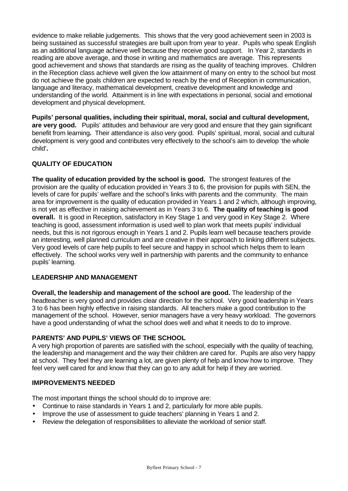evidence to make reliable judgements. This shows that the very good achievement seen in 2003 is being sustained as successful strategies are built upon from year to year. Pupils who speak English as an additional language achieve well because they receive good support. In Year 2, standards in reading are above average, and those in writing and mathematics are average. This represents good achievement and shows that standards are rising as the quality of teaching improves. Children in the Reception class achieve well given the low attainment of many on entry to the school but most do not achieve the goals children are expected to reach by the end of Reception in communication, language and literacy, mathematical development, creative development and knowledge and understanding of the world. Attainment is in line with expectations in personal, social and emotional development and physical development.

**Pupils' personal qualities, including their spiritual, moral, social and cultural development, are very good.** Pupils' attitudes and behaviour are very good and ensure that they gain significant benefit from learning**.** Their attendance is also very good.Pupils' spiritual, moral, social and cultural development is very good and contributes very effectively to the school's aim to develop 'the whole child'**.**

# **QUALITY OF EDUCATION**

**The quality of education provided by the school is good.** The strongest features of the provision are the quality of education provided in Years 3 to 6, the provision for pupils with SEN, the levels of care for pupils' welfare and the school's links with parents and the community. The main area for improvement is the quality of education provided in Years 1 and 2 which, although improving, is not yet as effective in raising achievement as in Years 3 to 6. **The quality of teaching is good overall.** It is good in Reception, satisfactory in Key Stage 1 and very good in Key Stage 2. Where teaching is good, assessment information is used well to plan work that meets pupils' individual needs, but this is not rigorous enough in Years 1 and 2. Pupils learn well because teachers provide an interesting, well planned curriculum and are creative in their approach to linking different subjects. Very good levels of care help pupils to feel secure and happy in school which helps them to learn effectively. The school works very well in partnership with parents and the community to enhance pupils' learning.

# **LEADERSHIP AND MANAGEMENT**

**Overall, the leadership and management of the school are good.** The leadership of the headteacher is very good and provides clear direction for the school. Very good leadership in Years 3 to 6 has been highly effective in raising standards. All teachers make a good contribution to the management of the school. However, senior managers have a very heavy workload. The governors have a good understanding of what the school does well and what it needs to do to improve.

# **PARENTS' AND PUPILS' VIEWS OF THE SCHOOL**

A very high proportion of parents are satisfied with the school, especially with the quality of teaching, the leadership and management and the way their children are cared for. Pupils are also very happy at school. They feel they are learning a lot, are given plenty of help and know how to improve. They feel very well cared for and know that they can go to any adult for help if they are worried.

#### **IMPROVEMENTS NEEDED**

The most important things the school should do to improve are:

- Continue to raise standards in Years 1 and 2, particularly for more able pupils.
- Improve the use of assessment to guide teachers' planning in Years 1 and 2.
- Review the delegation of responsibilities to alleviate the workload of senior staff.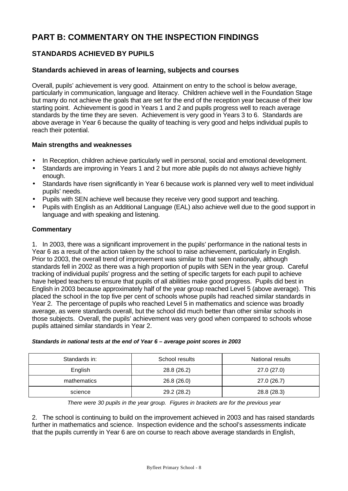# **PART B: COMMENTARY ON THE INSPECTION FINDINGS**

# **STANDARDS ACHIEVED BY PUPILS**

### **Standards achieved in areas of learning, subjects and courses**

Overall, pupils' achievement is very good. Attainment on entry to the school is below average, particularly in communication, language and literacy. Children achieve well in the Foundation Stage but many do not achieve the goals that are set for the end of the reception year because of their low starting point. Achievement is good in Years 1 and 2 and pupils progress well to reach average standards by the time they are seven. Achievement is very good in Years 3 to 6. Standards are above average in Year 6 because the quality of teaching is very good and helps individual pupils to reach their potential.

#### **Main strengths and weaknesses**

- In Reception, children achieve particularly well in personal, social and emotional development.
- Standards are improving in Years 1 and 2 but more able pupils do not always achieve highly enough.
- Standards have risen significantly in Year 6 because work is planned very well to meet individual pupils' needs.
- Pupils with SEN achieve well because they receive very good support and teaching.
- Pupils with English as an Additional Language (EAL) also achieve well due to the good support in language and with speaking and listening.

#### **Commentary**

1. In 2003, there was a significant improvement in the pupils' performance in the national tests in Year 6 as a result of the action taken by the school to raise achievement, particularly in English. Prior to 2003, the overall trend of improvement was similar to that seen nationally, although standards fell in 2002 as there was a high proportion of pupils with SEN in the year group. Careful tracking of individual pupils' progress and the setting of specific targets for each pupil to achieve have helped teachers to ensure that pupils of all abilities make good progress. Pupils did best in English in 2003 because approximately half of the year group reached Level 5 (above average). This placed the school in the top five per cent of schools whose pupils had reached similar standards in Year 2. The percentage of pupils who reached Level 5 in mathematics and science was broadly average, as were standards overall, but the school did much better than other similar schools in those subjects. Overall, the pupils' achievement was very good when compared to schools whose pupils attained similar standards in Year 2.

| Standards in: | School results | National results |
|---------------|----------------|------------------|
| English       | 28.8 (26.2)    | 27.0 (27.0)      |
| mathematics   | 26.8(26.0)     | 27.0 (26.7)      |
| science       | 29.2 (28.2)    | 28.8 (28.3)      |

#### *Standards in national tests at the end of Year 6 – average point scores in 2003*

*There were 30 pupils in the year group. Figures in brackets are for the previous year*

2. The school is continuing to build on the improvement achieved in 2003 and has raised standards further in mathematics and science. Inspection evidence and the school's assessments indicate that the pupils currently in Year 6 are on course to reach above average standards in English,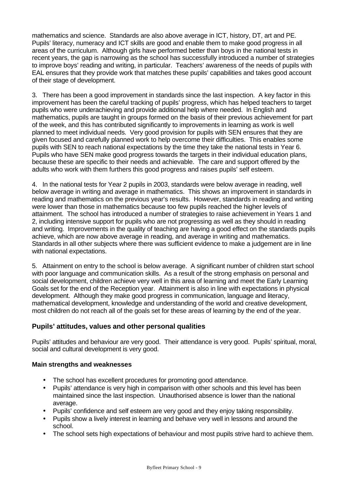mathematics and science. Standards are also above average in ICT, history, DT, art and PE. Pupils' literacy, numeracy and ICT skills are good and enable them to make good progress in all areas of the curriculum. Although girls have performed better than boys in the national tests in recent years, the gap is narrowing as the school has successfully introduced a number of strategies to improve boys' reading and writing, in particular. Teachers' awareness of the needs of pupils with EAL ensures that they provide work that matches these pupils' capabilities and takes good account of their stage of development.

3. There has been a good improvement in standards since the last inspection. A key factor in this improvement has been the careful tracking of pupils' progress, which has helped teachers to target pupils who were underachieving and provide additional help where needed. In English and mathematics, pupils are taught in groups formed on the basis of their previous achievement for part of the week, and this has contributed significantly to improvements in learning as work is well planned to meet individual needs. Very good provision for pupils with SEN ensures that they are given focused and carefully planned work to help overcome their difficulties. This enables some pupils with SEN to reach national expectations by the time they take the national tests in Year 6. Pupils who have SEN make good progress towards the targets in their individual education plans, because these are specific to their needs and achievable. The care and support offered by the adults who work with them furthers this good progress and raises pupils' self esteem.

4. In the national tests for Year 2 pupils in 2003, standards were below average in reading, well below average in writing and average in mathematics. This shows an improvement in standards in reading and mathematics on the previous year's results. However, standards in reading and writing were lower than those in mathematics because too few pupils reached the higher levels of attainment. The school has introduced a number of strategies to raise achievement in Years 1 and 2, including intensive support for pupils who are not progressing as well as they should in reading and writing. Improvements in the quality of teaching are having a good effect on the standards pupils achieve, which are now above average in reading, and average in writing and mathematics. Standards in all other subjects where there was sufficient evidence to make a judgement are in line with national expectations.

5. Attainment on entry to the school is below average. A significant number of children start school with poor language and communication skills. As a result of the strong emphasis on personal and social development, children achieve very well in this area of learning and meet the Early Learning Goals set for the end of the Reception year. Attainment is also in line with expectations in physical development. Although they make good progress in communication, language and literacy, mathematical development, knowledge and understanding of the world and creative development, most children do not reach all of the goals set for these areas of learning by the end of the year.

# **Pupils' attitudes, values and other personal qualities**

Pupils' attitudes and behaviour are very good. Their attendance is very good. Pupils' spiritual, moral, social and cultural development is very good.

#### **Main strengths and weaknesses**

- The school has excellent procedures for promoting good attendance.
- Pupils' attendance is very high in comparison with other schools and this level has been maintained since the last inspection. Unauthorised absence is lower than the national average.
- Pupils' confidence and self esteem are very good and they enjoy taking responsibility.
- Pupils show a lively interest in learning and behave very well in lessons and around the school.
- The school sets high expectations of behaviour and most pupils strive hard to achieve them.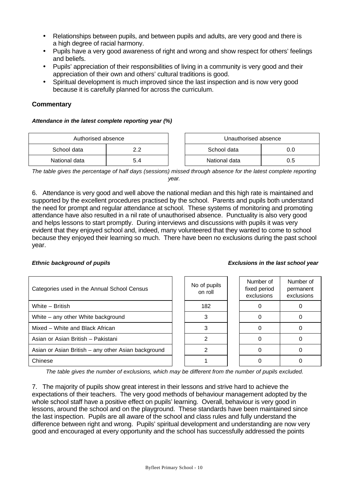- Relationships between pupils, and between pupils and adults, are very good and there is a high degree of racial harmony.
- Pupils have a very good awareness of right and wrong and show respect for others' feelings and beliefs.
- Pupils' appreciation of their responsibilities of living in a community is very good and their appreciation of their own and others' cultural traditions is good.
- Spiritual development is much improved since the last inspection and is now very good because it is carefully planned for across the curriculum.

#### **Commentary**

#### *Attendance in the latest complete reporting year (%)*

| Authorised absence |     | Unauthorised absence |               |     |
|--------------------|-----|----------------------|---------------|-----|
| School data        | າາ  |                      | School data   | 0.0 |
| National data      | 5.4 |                      | National data | 0.5 |

| Authorised absence |     | Unauthorised absence |     |  |
|--------------------|-----|----------------------|-----|--|
| data               |     | School data<br>0.0   |     |  |
| data               | 5.4 | National data        | 0.5 |  |

*The table gives the percentage of half days (sessions) missed through absence for the latest complete reporting year.*

6. Attendance is very good and well above the national median and this high rate is maintained and supported by the excellent procedures practised by the school. Parents and pupils both understand the need for prompt and regular attendance at school. These systems of monitoring and promoting attendance have also resulted in a nil rate of unauthorised absence. Punctuality is also very good and helps lessons to start promptly. During interviews and discussions with pupils it was very evident that they enjoyed school and, indeed, many volunteered that they wanted to come to school because they enjoyed their learning so much. There have been no exclusions during the past school year.

#### *Ethnic background of pupils Exclusions in the last school year*

| Categories used in the Annual School Census         | No of pupils<br>on roll | Number of<br>fixed period<br>exclusions | Number of<br>permanent<br>exclusions |
|-----------------------------------------------------|-------------------------|-----------------------------------------|--------------------------------------|
| White - British                                     | 182                     |                                         |                                      |
| White – any other White background                  |                         |                                         |                                      |
| Mixed - White and Black African                     |                         |                                         |                                      |
| Asian or Asian British - Pakistani                  |                         |                                         |                                      |
| Asian or Asian British – any other Asian background |                         |                                         |                                      |
| Chinese                                             |                         |                                         |                                      |

*The table gives the number of exclusions, which may be different from the number of pupils excluded.*

7. The majority of pupils show great interest in their lessons and strive hard to achieve the expectations of their teachers. The very good methods of behaviour management adopted by the whole school staff have a positive effect on pupils' learning. Overall, behaviour is very good in lessons, around the school and on the playground. These standards have been maintained since the last inspection. Pupils are all aware of the school and class rules and fully understand the difference between right and wrong. Pupils' spiritual development and understanding are now very good and encouraged at every opportunity and the school has successfully addressed the points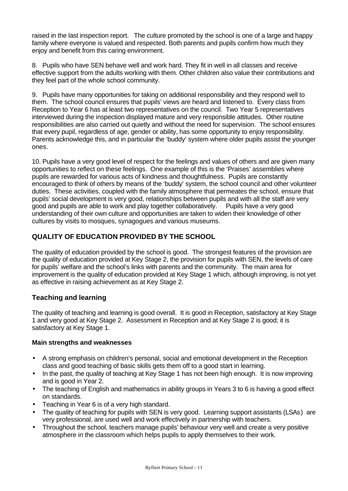raised in the last inspection report. The culture promoted by the school is one of a large and happy family where everyone is valued and respected. Both parents and pupils confirm how much they enjoy and benefit from this caring environment.

8. Pupils who have SEN behave well and work hard. They fit in well in all classes and receive effective support from the adults working with them. Other children also value their contributions and they feel part of the whole school community.

9. Pupils have many opportunities for taking on additional responsibility and they respond well to them. The school council ensures that pupils' views are heard and listened to. Every class from Reception to Year 6 has at least two representatives on the council. Two Year 5 representatives interviewed during the inspection displayed mature and very responsible attitudes. Other routine responsibilities are also carried out quietly and without the need for supervision. The school ensures that every pupil, regardless of age, gender or ability, has some opportunity to enjoy responsibility. Parents acknowledge this, and in particular the 'buddy' system where older pupils assist the younger ones.

10. Pupils have a very good level of respect for the feelings and values of others and are given many opportunities to reflect on these feelings. One example of this is the 'Praises' assemblies where pupils are rewarded for various acts of kindness and thoughtfulness. Pupils are constantly encouraged to think of others by means of the 'buddy' system, the school council and other volunteer duties. These activities, coupled with the family atmosphere that permeates the school, ensure that pupils' social development is very good, relationships between pupils and with all the staff are very good and pupils are able to work and play together collaboratively. Pupils have a very good understanding of their own culture and opportunities are taken to widen their knowledge of other cultures by visits to mosques, synagogues and various museums.

# **QUALITY OF EDUCATION PROVIDED BY THE SCHOOL**

The quality of education provided by the school is good. The strongest features of the provision are the quality of education provided at Key Stage 2, the provision for pupils with SEN, the levels of care for pupils' welfare and the school's links with parents and the community. The main area for improvement is the quality of education provided at Key Stage 1 which, although improving, is not yet as effective in raising achievement as at Key Stage 2.

# **Teaching and learning**

The quality of teaching and learning is good overall. It is good in Reception, satisfactory at Key Stage 1 and very good at Key Stage 2. Assessment in Reception and at Key Stage 2 is good; it is satisfactory at Key Stage 1.

# **Main strengths and weaknesses**

- A strong emphasis on children's personal, social and emotional development in the Reception class and good teaching of basic skills gets them off to a good start in learning.
- In the past, the quality of teaching at Key Stage 1 has not been high enough. It is now improving and is good in Year 2.
- The teaching of English and mathematics in ability groups in Years 3 to 6 is having a good effect on standards.
- Teaching in Year 6 is of a very high standard.
- The quality of teaching for pupils with SEN is very good. Learning support assistants (LSAs) are very professional, are used well and work effectively in partnership with teachers.
- Throughout the school, teachers manage pupils' behaviour very well and create a very positive atmosphere in the classroom which helps pupils to apply themselves to their work.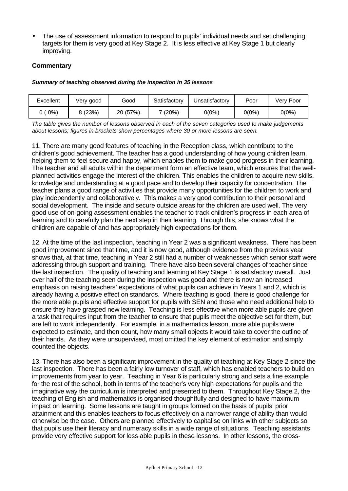• The use of assessment information to respond to pupils' individual needs and set challenging targets for them is very good at Key Stage 2. It is less effective at Key Stage 1 but clearly improving.

# **Commentary**

#### *Summary of teaching observed during the inspection in 35 lessons*

| Excellent | Very good | Good     | Satisfactory | Unsatisfactory | Poor  | Very Poor |
|-----------|-----------|----------|--------------|----------------|-------|-----------|
| $0\%$     | 3 (23%)   | 20 (57%) | $(20\%)$     | 0(0%)          | 0(0%) | $0(0\%)$  |

*The table gives the number of lessons observed in each of the seven categories used to make judgements about lessons; figures in brackets show percentages where 30 or more lessons are seen.*

11. There are many good features of teaching in the Reception class, which contribute to the children's good achievement. The teacher has a good understanding of how young children learn, helping them to feel secure and happy, which enables them to make good progress in their learning. The teacher and all adults within the department form an effective team, which ensures that the wellplanned activities engage the interest of the children. This enables the children to acquire new skills, knowledge and understanding at a good pace and to develop their capacity for concentration. The teacher plans a good range of activities that provide many opportunities for the children to work and play independently and collaboratively. This makes a very good contribution to their personal and social development. The inside and secure outside areas for the children are used well. The very good use of on-going assessment enables the teacher to track children's progress in each area of learning and to carefully plan the next step in their learning. Through this, she knows what the children are capable of and has appropriately high expectations for them.

12. At the time of the last inspection, teaching in Year 2 was a significant weakness. There has been good improvement since that time, and it is now good, although evidence from the previous year shows that, at that time, teaching in Year 2 still had a number of weaknesses which senior staff were addressing through support and training. There have also been several changes of teacher since the last inspection. The quality of teaching and learning at Key Stage 1 is satisfactory overall. Just over half of the teaching seen during the inspection was good and there is now an increased emphasis on raising teachers' expectations of what pupils can achieve in Years 1 and 2, which is already having a positive effect on standards. Where teaching is good, there is good challenge for the more able pupils and effective support for pupils with SEN and those who need additional help to ensure they have grasped new learning. Teaching is less effective when more able pupils are given a task that requires input from the teacher to ensure that pupils meet the objective set for them, but are left to work independently. For example, in a mathematics lesson, more able pupils were expected to estimate, and then count, how many small objects it would take to cover the outline of their hands. As they were unsupervised, most omitted the key element of estimation and simply counted the objects.

13. There has also been a significant improvement in the quality of teaching at Key Stage 2 since the last inspection. There has been a fairly low turnover of staff, which has enabled teachers to build on improvements from year to year. Teaching in Year 6 is particularly strong and sets a fine example for the rest of the school, both in terms of the teacher's very high expectations for pupils and the imaginative way the curriculum is interpreted and presented to them. Throughout Key Stage 2, the teaching of English and mathematics is organised thoughtfully and designed to have maximum impact on learning. Some lessons are taught in groups formed on the basis of pupils' prior attainment and this enables teachers to focus effectively on a narrower range of ability than would otherwise be the case. Others are planned effectively to capitalise on links with other subjects so that pupils use their literacy and numeracy skills in a wide range of situations. Teaching assistants provide very effective support for less able pupils in these lessons. In other lessons, the cross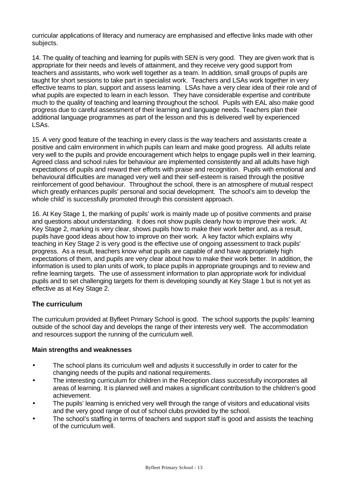curricular applications of literacy and numeracy are emphasised and effective links made with other subjects.

14. The quality of teaching and learning for pupils with SEN is very good. They are given work that is appropriate for their needs and levels of attainment, and they receive very good support from teachers and assistants, who work well together as a team. In addition, small groups of pupils are taught for short sessions to take part in specialist work. Teachers and LSAs work together in very effective teams to plan, support and assess learning. LSAs have a very clear idea of their role and of what pupils are expected to learn in each lesson. They have considerable expertise and contribute much to the quality of teaching and learning throughout the school. Pupils with EAL also make good progress due to careful assessment of their learning and language needs. Teachers plan their additional language programmes as part of the lesson and this is delivered well by experienced LSAs.

15. A very good feature of the teaching in every class is the way teachers and assistants create a positive and calm environment in which pupils can learn and make good progress. All adults relate very well to the pupils and provide encouragement which helps to engage pupils well in their learning. Agreed class and school rules for behaviour are implemented consistently and all adults have high expectations of pupils and reward their efforts with praise and recognition. Pupils with emotional and behavioural difficulties are managed very well and their self-esteem is raised through the positive reinforcement of good behaviour. Throughout the school, there is an atmosphere of mutual respect which greatly enhances pupils' personal and social development. The school's aim to develop 'the whole child' is successfully promoted through this consistent approach.

16. At Key Stage 1, the marking of pupils' work is mainly made up of positive comments and praise and questions about understanding. It does not show pupils clearly how to improve their work. At Key Stage 2, marking is very clear, shows pupils how to make their work better and, as a result, pupils have good ideas about how to improve on their work. A key factor which explains why teaching in Key Stage 2 is very good is the effective use of ongoing assessment to track pupils' progress. As a result, teachers know what pupils are capable of and have appropriately high expectations of them, and pupils are very clear about how to make their work better. In addition, the information is used to plan units of work, to place pupils in appropriate groupings and to review and refine learning targets. The use of assessment information to plan appropriate work for individual pupils and to set challenging targets for them is developing soundly at Key Stage 1 but is not yet as effective as at Key Stage 2.

# **The curriculum**

The curriculum provided at Byfleet Primary School is good. The school supports the pupils' learning outside of the school day and develops the range of their interests very well. The accommodation and resources support the running of the curriculum well.

#### **Main strengths and weaknesses**

- The school plans its curriculum well and adjusts it successfully in order to cater for the changing needs of the pupils and national requirements.
- The interesting curriculum for children in the Reception class successfully incorporates all areas of learning. It is planned well and makes a significant contribution to the children's good achievement.
- The pupils' learning is enriched very well through the range of visitors and educational visits and the very good range of out of school clubs provided by the school.
- The school's staffing in terms of teachers and support staff is good and assists the teaching of the curriculum well.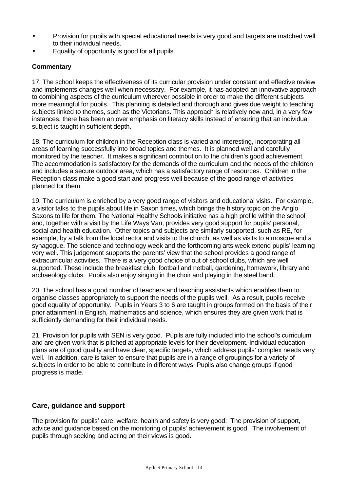- Provision for pupils with special educational needs is very good and targets are matched well to their individual needs.
- Equality of opportunity is good for all pupils.

### **Commentary**

17. The school keeps the effectiveness of its curricular provision under constant and effective review and implements changes well when necessary. For example, it has adopted an innovative approach to combining aspects of the curriculum wherever possible in order to make the different subjects more meaningful for pupils. This planning is detailed and thorough and gives due weight to teaching subjects linked to themes, such as the Victorians. This approach is relatively new and, in a very few instances, there has been an over emphasis on literacy skills instead of ensuring that an individual subject is taught in sufficient depth.

18. The curriculum for children in the Reception class is varied and interesting, incorporating all areas of learning successfully into broad topics and themes. It is planned well and carefully monitored by the teacher. It makes a significant contribution to the children's good achievement. The accommodation is satisfactory for the demands of the curriculum and the needs of the children and includes a secure outdoor area, which has a satisfactory range of resources. Children in the Reception class make a good start and progress well because of the good range of activities planned for them.

19. The curriculum is enriched by a very good range of visitors and educational visits. For example, a visitor talks to the pupils about life in Saxon times, which brings the history topic on the Anglo Saxons to life for them. The National Healthy Schools initiative has a high profile within the school and, together with a visit by the Life Ways Van, provides very good support for pupils' personal, social and health education. Other topics and subjects are similarly supported, such as RE, for example, by a talk from the local rector and visits to the church, as well as visits to a mosque and a synagogue. The science and technology week and the forthcoming arts week extend pupils' learning very well. This judgement supports the parents' view that the school provides a good range of extracurricular activities. There is a very good choice of out of school clubs, which are well supported. These include the breakfast club, football and netball, gardening, homework, library and archaeology clubs. Pupils also enjoy singing in the choir and playing in the steel band.

20. The school has a good number of teachers and teaching assistants which enables them to organise classes appropriately to support the needs of the pupils well. As a result, pupils receive good equality of opportunity. Pupils in Years 3 to 6 are taught in groups formed on the basis of their prior attainment in English, mathematics and science, which ensures they are given work that is sufficiently demanding for their individual needs.

21. Provision for pupils with SEN is very good. Pupils are fully included into the school's curriculum and are given work that is pitched at appropriate levels for their development. Individual education plans are of good quality and have clear, specific targets, which address pupils' complex needs very well. In addition, care is taken to ensure that pupils are in a range of groupings for a variety of subjects in order to be able to contribute in different ways. Pupils also change groups if good progress is made.

# **Care, guidance and support**

The provision for pupils' care, welfare, health and safety is very good. The provision of support, advice and guidance based on the monitoring of pupils' achievement is good. The involvement of pupils through seeking and acting on their views is good.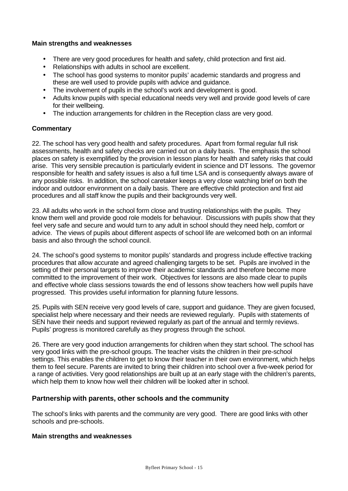#### **Main strengths and weaknesses**

- There are very good procedures for health and safety, child protection and first aid.
- Relationships with adults in school are excellent.
- The school has good systems to monitor pupils' academic standards and progress and these are well used to provide pupils with advice and guidance.
- The involvement of pupils in the school's work and development is good.
- Adults know pupils with special educational needs very well and provide good levels of care for their wellbeing.
- The induction arrangements for children in the Reception class are very good.

#### **Commentary**

22. The school has very good health and safety procedures. Apart from formal regular full risk assessments, health and safety checks are carried out on a daily basis. The emphasis the school places on safety is exemplified by the provision in lesson plans for health and safety risks that could arise. This very sensible precaution is particularly evident in science and DT lessons. The governor responsible for health and safety issues is also a full time LSA and is consequently always aware of any possible risks. In addition, the school caretaker keeps a very close watching brief on both the indoor and outdoor environment on a daily basis. There are effective child protection and first aid procedures and all staff know the pupils and their backgrounds very well.

23. All adults who work in the school form close and trusting relationships with the pupils. They know them well and provide good role models for behaviour. Discussions with pupils show that they feel very safe and secure and would turn to any adult in school should they need help, comfort or advice. The views of pupils about different aspects of school life are welcomed both on an informal basis and also through the school council.

24. The school's good systems to monitor pupils' standards and progress include effective tracking procedures that allow accurate and agreed challenging targets to be set. Pupils are involved in the setting of their personal targets to improve their academic standards and therefore become more committed to the improvement of their work. Objectives for lessons are also made clear to pupils and effective whole class sessions towards the end of lessons show teachers how well pupils have progressed. This provides useful information for planning future lessons.

25. Pupils with SEN receive very good levels of care, support and guidance. They are given focused, specialist help where necessary and their needs are reviewed regularly. Pupils with statements of SEN have their needs and support reviewed regularly as part of the annual and termly reviews. Pupils' progress is monitored carefully as they progress through the school.

26. There are very good induction arrangements for children when they start school. The school has very good links with the pre-school groups. The teacher visits the children in their pre-school settings. This enables the children to get to know their teacher in their own environment, which helps them to feel secure. Parents are invited to bring their children into school over a five-week period for a range of activities. Very good relationships are built up at an early stage with the children's parents, which help them to know how well their children will be looked after in school.

# **Partnership with parents, other schools and the community**

The school's links with parents and the community are very good. There are good links with other schools and pre-schools.

#### **Main strengths and weaknesses**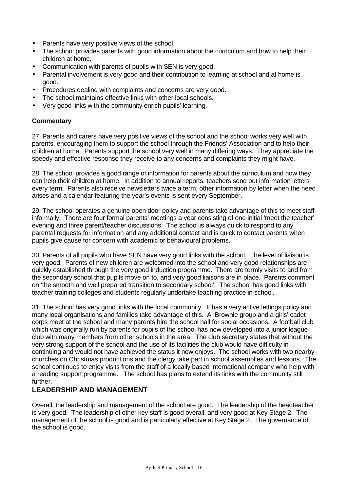- Parents have very positive views of the school.
- The school provides parents with good information about the curriculum and how to help their children at home.
- Communication with parents of pupils with SEN is very good.
- Parental involvement is very good and their contribution to learning at school and at home is good.
- Procedures dealing with complaints and concerns are very good.
- The school maintains effective links with other local schools.
- Very good links with the community enrich pupils' learning.

### **Commentary**

27. Parents and carers have very positive views of the school and the school works very well with parents, encouraging them to support the school through the Friends' Association and to help their children at home. Parents support the school very well in many differing ways. They appreciate the speedy and effective response they receive to any concerns and complaints they might have.

28. The school provides a good range of information for parents about the curriculum and how they can help their children at home. In addition to annual reports, teachers send out information letters every term. Parents also receive newsletters twice a term, other information by letter when the need arises and a calendar featuring the year's events is sent every September.

29. The school operates a genuine open door policy and parents take advantage of this to meet staff informally. There are four formal parents' meetings a year consisting of one initial 'meet the teacher' evening and three parent/teacher discussions. The school is always quick to respond to any parental requests for information and any additional contact and is quick to contact parents when pupils give cause for concern with academic or behavioural problems.

30. Parents of all pupils who have SEN have very good links with the school. The level of liaison is very good. Parents of new children are welcomed into the school and very good relationships are quickly established through the very good induction programme. There are termly visits to and from the secondary school that pupils move on to, and very good liaisons are in place. Parents comment on 'the smooth and well prepared transition to secondary school'. The school has good links with teacher training colleges and students regularly undertake teaching practice in school.

31. The school has very good links with the local community. It has a very active lettings policy and many local organisations and families take advantage of this. A Brownie group and a girls' cadet corps meet at the school and many parents hire the school hall for social occasions. A football club which was originally run by parents for pupils of the school has now developed into a junior league club with many members from other schools in the area. The club secretary states that without the very strong support of the school and the use of its facilities the club would have difficulty in continuing and would not have achieved the status it now enjoys. The school works with two nearby churches on Christmas productions and the clergy take part in school assemblies and lessons. The school continues to enjoy visits from the staff of a locally based international company who help with a reading support programme. The school has plans to extend its links with the community still further.

# **LEADERSHIP AND MANAGEMENT**

Overall, the leadership and management of the school are good. The leadership of the headteacher is very good. The leadership of other key staff is good overall, and very good at Key Stage 2. The management of the school is good and is particularly effective at Key Stage 2. The governance of the school is good.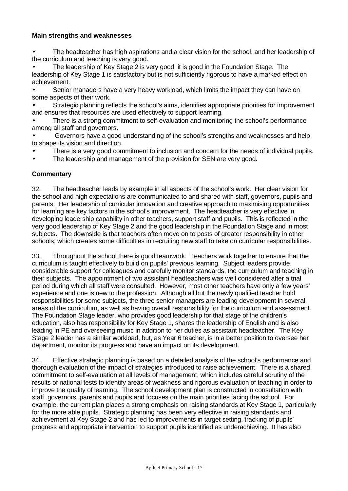#### **Main strengths and weaknesses**

• The headteacher has high aspirations and a clear vision for the school, and her leadership of the curriculum and teaching is very good.

• The leadership of Key Stage 2 is very good; it is good in the Foundation Stage. The leadership of Key Stage 1 is satisfactory but is not sufficiently rigorous to have a marked effect on achievement.

• Senior managers have a very heavy workload, which limits the impact they can have on some aspects of their work.

• Strategic planning reflects the school's aims, identifies appropriate priorities for improvement and ensures that resources are used effectively to support learning.

There is a strong commitment to self-evaluation and monitoring the school's performance among all staff and governors.

• Governors have a good understanding of the school's strengths and weaknesses and help to shape its vision and direction.

- There is a very good commitment to inclusion and concern for the needs of individual pupils.
- The leadership and management of the provision for SEN are very good.

# **Commentary**

32. The headteacher leads by example in all aspects of the school's work. Her clear vision for the school and high expectations are communicated to and shared with staff, governors, pupils and parents. Her leadership of curricular innovation and creative approach to maximising opportunities for learning are key factors in the school's improvement. The headteacher is very effective in developing leadership capability in other teachers, support staff and pupils. This is reflected in the very good leadership of Key Stage 2 and the good leadership in the Foundation Stage and in most subjects. The downside is that teachers often move on to posts of greater responsibility in other schools, which creates some difficulties in recruiting new staff to take on curricular responsibilities.

33. Throughout the school there is good teamwork. Teachers work together to ensure that the curriculum is taught effectively to build on pupils' previous learning. Subject leaders provide considerable support for colleagues and carefully monitor standards, the curriculum and teaching in their subjects. The appointment of two assistant headteachers was well considered after a trial period during which all staff were consulted. However, most other teachers have only a few years' experience and one is new to the profession. Although all but the newly qualified teacher hold responsibilities for some subjects, the three senior managers are leading development in several areas of the curriculum, as well as having overall responsibility for the curriculum and assessment. The Foundation Stage leader, who provides good leadership for that stage of the children's education, also has responsibility for Key Stage 1, shares the leadership of English and is also leading in PE and overseeing music in addition to her duties as assistant headteacher. The Key Stage 2 leader has a similar workload, but, as Year 6 teacher, is in a better position to oversee her department, monitor its progress and have an impact on its development.

34. Effective strategic planning is based on a detailed analysis of the school's performance and thorough evaluation of the impact of strategies introduced to raise achievement. There is a shared commitment to self-evaluation at all levels of management, which includes careful scrutiny of the results of national tests to identify areas of weakness and rigorous evaluation of teaching in order to improve the quality of learning. The school development plan is constructed in consultation with staff, governors, parents and pupils and focuses on the main priorities facing the school. For example, the current plan places a strong emphasis on raising standards at Key Stage 1, particularly for the more able pupils. Strategic planning has been very effective in raising standards and achievement at Key Stage 2 and has led to improvements in target setting, tracking of pupils' progress and appropriate intervention to support pupils identified as underachieving. It has also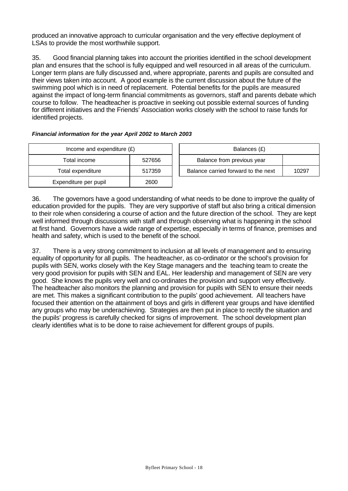produced an innovative approach to curricular organisation and the very effective deployment of LSAs to provide the most worthwhile support.

35. Good financial planning takes into account the priorities identified in the school development plan and ensures that the school is fully equipped and well resourced in all areas of the curriculum. Longer term plans are fully discussed and, where appropriate, parents and pupils are consulted and their views taken into account. A good example is the current discussion about the future of the swimming pool which is in need of replacement. Potential benefits for the pupils are measured against the impact of long-term financial commitments as governors, staff and parents debate which course to follow. The headteacher is proactive in seeking out possible external sources of funding for different initiatives and the Friends' Association works closely with the school to raise funds for identified projects.

| Income and expenditure $(E)$ | Balances (£) |                                |
|------------------------------|--------------|--------------------------------|
| Total income                 | 527656       | Balance from previous year     |
| Total expenditure            | 517359       | Balance carried forward to the |
| Expenditure per pupil        | 2600         |                                |

| Income and expenditure $(E)$ |        | Balances (£)                        |       |
|------------------------------|--------|-------------------------------------|-------|
| Total income                 | 527656 | Balance from previous year          |       |
| Total expenditure            | 517359 | Balance carried forward to the next | 10297 |

36. The governors have a good understanding of what needs to be done to improve the quality of education provided for the pupils. They are very supportive of staff but also bring a critical dimension to their role when considering a course of action and the future direction of the school. They are kept well informed through discussions with staff and through observing what is happening in the school at first hand. Governors have a wide range of expertise, especially in terms of finance, premises and health and safety, which is used to the benefit of the school.

37. There is a very strong commitment to inclusion at all levels of management and to ensuring equality of opportunity for all pupils. The headteacher, as co-ordinator or the school's provision for pupils with SEN, works closely with the Key Stage managers and the teaching team to create the very good provision for pupils with SEN and EAL. Her leadership and management of SEN are very good. She knows the pupils very well and co-ordinates the provision and support very effectively. The headteacher also monitors the planning and provision for pupils with SEN to ensure their needs are met. This makes a significant contribution to the pupils' good achievement. All teachers have focused their attention on the attainment of boys and girls in different year groups and have identified any groups who may be underachieving. Strategies are then put in place to rectify the situation and the pupils' progress is carefully checked for signs of improvement. The school development plan clearly identifies what is to be done to raise achievement for different groups of pupils.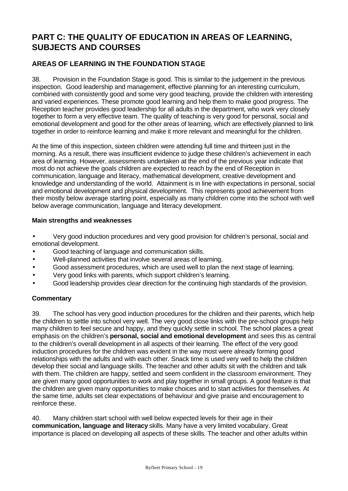# **PART C: THE QUALITY OF EDUCATION IN AREAS OF LEARNING, SUBJECTS AND COURSES**

# **AREAS OF LEARNING IN THE FOUNDATION STAGE**

38. Provision in the Foundation Stage is good. This is similar to the judgement in the previous inspection. Good leadership and management, effective planning for an interesting curriculum, combined with consistently good and some very good teaching, provide the children with interesting and varied experiences. These promote good learning and help them to make good progress. The Reception teacher provides good leadership for all adults in the department, who work very closely together to form a very effective team. The quality of teaching is very good for personal, social and emotional development and good for the other areas of learning, which are effectively planned to link together in order to reinforce learning and make it more relevant and meaningful for the children.

At the time of this inspection, sixteen children were attending full time and thirteen just in the morning. As a result, there was insufficient evidence to judge these children's achievement in each area of learning. However, assessments undertaken at the end of the previous year indicate that most do not achieve the goals children are expected to reach by the end of Reception in communication, language and literacy, mathematical development, creative development and knowledge and understanding of the world. Attainment is in line with expectations in personal, social and emotional development and physical development. This represents good achievement from their mostly below average starting point, especially as many children come into the school with well below average communication, language and literacy development.

#### **Main strengths and weaknesses**

• Very good induction procedures and very good provision for children's personal, social and emotional development.

- Good teaching of language and communication skills.
- Well-planned activities that involve several areas of learning.
- Good assessment procedures, which are used well to plan the next stage of learning.
- Very good links with parents, which support children's learning.
- Good leadership provides clear direction for the continuing high standards of the provision.

# **Commentary**

39. The school has very good induction procedures for the children and their parents, which help the children to settle into school very well. The very good close links with the pre-school groups help many children to feel secure and happy, and they quickly settle in school. The school places a great emphasis on the children's **personal, social and emotional development** and sees this as central to the children's overall development in all aspects of their learning. The effect of the very good induction procedures for the children was evident in the way most were already forming good relationships with the adults and with each other. Snack time is used very well to help the children develop their social and language skills. The teacher and other adults sit with the children and talk with them. The children are happy, settled and seem confident in the classroom environment. They are given many good opportunities to work and play together in small groups. A good feature is that the children are given many opportunities to make choices and to start activities for themselves. At the same time, adults set clear expectations of behaviour and give praise and encouragement to reinforce these.

40. Many children start school with well below expected levels for their age in their **communication, language and literacy** skills. Many have a very limited vocabulary. Great importance is placed on developing all aspects of these skills. The teacher and other adults within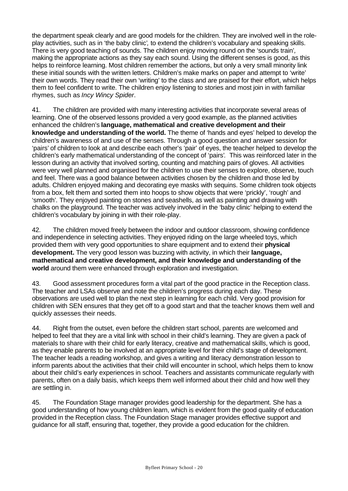the department speak clearly and are good models for the children. They are involved well in the roleplay activities, such as in 'the baby clinic'*,* to extend the children's vocabulary and speaking skills. There is very good teaching of sounds. The children enjoy moving round on the 'sounds train'*,* making the appropriate actions as they say each sound. Using the different senses is good, as this helps to reinforce learning. Most children remember the actions, but only a very small minority link these initial sounds with the written letters. Children's make marks on paper and attempt to 'write' their own words. They read their own 'writing' to the class and are praised for their effort, which helps them to feel confident to write. The children enjoy listening to stories and most join in with familiar rhymes, such as *Incy Wincy Spider*.

41. The children are provided with many interesting activities that incorporate several areas of learning. One of the observed lessons provided a very good example, as the planned activities enhanced the children's **language, mathematical and creative development and their knowledge and understanding of the world.** The theme of 'hands and eyes' helped to develop the children's awareness of and use of the senses. Through a good question and answer session for 'pairs' of children to look at and describe each other's 'pair' of eyes, the teacher helped to develop the children's early mathematical understanding of the concept of 'pairs'*.* This was reinforced later in the lesson during an activity that involved sorting, counting and matching pairs of gloves. All activities were very well planned and organised for the children to use their senses to explore, observe, touch and feel. There was a good balance between activities chosen by the children and those led by adults. Children enjoyed making and decorating eye masks with sequins. Some children took objects from a box, felt them and sorted them into hoops to show objects that were 'prickly', 'rough' and 'smooth'*.* They enjoyed painting on stones and seashells, as well as painting and drawing with chalks on the playground. The teacher was actively involved in the 'baby clinic' helping to extend the children's vocabulary by joining in with their role-play.

42. The children moved freely between the indoor and outdoor classroom, showing confidence and independence in selecting activities. They enjoyed riding on the large wheeled toys, which provided them with very good opportunities to share equipment and to extend their **physical development.** The very good lesson was buzzing with activity, in which their **language, mathematical and creative development, and their knowledge and understanding of the world** around them were enhanced through exploration and investigation.

43. Good assessment procedures form a vital part of the good practice in the Reception class. The teacher and LSAs observe and note the children's progress during each day. These observations are used well to plan the next step in learning for each child. Very good provision for children with SEN ensures that they get off to a good start and that the teacher knows them well and quickly assesses their needs.

44. Right from the outset, even before the children start school, parents are welcomed and helped to feel that they are a vital link with school in their child's learning. They are given a pack of materials to share with their child for early literacy, creative and mathematical skills, which is good, as they enable parents to be involved at an appropriate level for their child's stage of development. The teacher leads a reading workshop, and gives a writing and literacy demonstration lesson to inform parents about the activities that their child will encounter in school, which helps them to know about their child's early experiences in school. Teachers and assistants communicate regularly with parents, often on a daily basis, which keeps them well informed about their child and how well they are settling in.

45. The Foundation Stage manager provides good leadership for the department. She has a good understanding of how young children learn, which is evident from the good quality of education provided in the Reception class. The Foundation Stage manager provides effective support and guidance for all staff, ensuring that, together, they provide a good education for the children.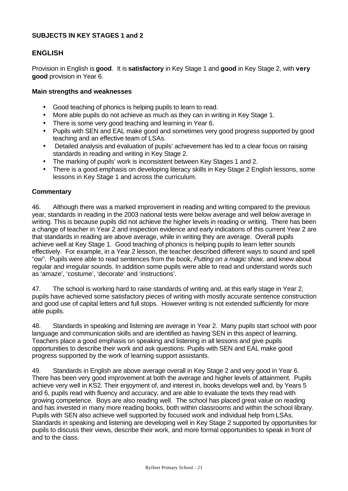#### **SUBJECTS IN KEY STAGES 1 and 2**

# **ENGLISH**

Provision in English is **good**. It is **satisfactory** in Key Stage 1 and **good** in Key Stage 2, with **very good** provision in Year 6.

#### **Main strengths and weaknesses**

- Good teaching of phonics is helping pupils to learn to read.
- More able pupils do not achieve as much as they can in writing in Key Stage 1.
- There is some very good teaching and learning in Year 6.
- Pupils with SEN and EAL make good and sometimes very good progress supported by good teaching and an effective team of LSAs.
- Detailed analysis and evaluation of pupils' achievement has led to a clear focus on raising standards in reading and writing in Key Stage 2.
- The marking of pupils' work is inconsistent between Key Stages 1 and 2.
- There is a good emphasis on developing literacy skills in Key Stage 2 English lessons, some lessons in Key Stage 1 and across the curriculum.

#### **Commentary**

46. Although there was a marked improvement in reading and writing compared to the previous year, standards in reading in the 2003 national tests were below average and well below average in writing. This is because pupils did not achieve the higher levels in reading or writing. There has been a change of teacher in Year 2 and inspection evidence and early indications of this current Year 2 are that standards in reading are above average, while in writing they are average. Overall pupils achieve well at Key Stage 1. Good teaching of phonics is helping pupils to learn letter sounds effectively. For example, in a Year 2 lesson, the teacher described different ways to sound and spell "ow". Pupils were able to read sentences from the book, *Putting on a magic show,* and knew about regular and irregular sounds. In addition some pupils were able to read and understand words such as 'amaze', 'costume', 'decorate' and 'instructions'.

47. The school is working hard to raise standards of writing and, at this early stage in Year 2, pupils have achieved some satisfactory pieces of writing with mostly accurate sentence construction and good use of capital letters and full stops. However writing is not extended sufficiently for more able pupils.

48. Standards in speaking and listening are average in Year 2. Many pupils start school with poor language and communication skills and are identified as having SEN in this aspect of learning. Teachers place a good emphasis on speaking and listening in all lessons and give pupils opportunities to describe their work and ask questions. Pupils with SEN and EAL make good progress supported by the work of learning support assistants.

49. Standards in English are above average overall in Key Stage 2 and very good in Year 6. There has been very good improvement at both the average and higher levels of attainment. Pupils achieve very well in KS2. Their enjoyment of, and interest in, books develops well and, by Years 5 and 6, pupils read with fluency and accuracy, and are able to evaluate the texts they read with growing competence. Boys are also reading well. The school has placed great value on reading and has invested in many more reading books, both within classrooms and within the school library. Pupils with SEN also achieve well supported by focused work and individual help from LSAs. Standards in speaking and listening are developing well in Key Stage 2 supported by opportunities for pupils to discuss their views, describe their work, and more formal opportunities to speak in front of and to the class.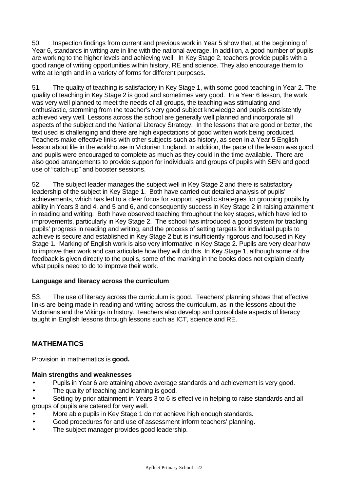50. Inspection findings from current and previous work in Year 5 show that, at the beginning of Year 6, standards in writing are in line with the national average. In addition, a good number of pupils are working to the higher levels and achieving well. In Key Stage 2, teachers provide pupils with a good range of writing opportunities within history, RE and science. They also encourage them to write at length and in a variety of forms for different purposes.

51. The quality of teaching is satisfactory in Key Stage 1, with some good teaching in Year 2. The quality of teaching in Key Stage 2 is good and sometimes very good. In a Year 6 lesson, the work was very well planned to meet the needs of all groups, the teaching was stimulating and enthusiastic, stemming from the teacher's very good subject knowledge and pupils consistently achieved very well. Lessons across the school are generally well planned and incorporate all aspects of the subject and the National Literacy Strategy. In the lessons that are good or better, the text used is challenging and there are high expectations of good written work being produced. Teachers make effective links with other subjects such as history, as seen in a Year 5 English lesson about life in the workhouse in Victorian England. In addition, the pace of the lesson was good and pupils were encouraged to complete as much as they could in the time available. There are also good arrangements to provide support for individuals and groups of pupils with SEN and good use of "catch-up" and booster sessions.

52. The subject leader manages the subject well in Key Stage 2 and there is satisfactory leadership of the subject in Key Stage 1. Both have carried out detailed analysis of pupils' achievements, which has led to a clear focus for support, specific strategies for grouping pupils by ability in Years 3 and 4, and 5 and 6, and consequently success in Key Stage 2 in raising attainment in reading and writing. Both have observed teaching throughout the key stages, which have led to improvements, particularly in Key Stage 2. The school has introduced a good system for tracking pupils' progress in reading and writing, and the process of setting targets for individual pupils to achieve is secure and established in Key Stage 2 but is insufficiently rigorous and focused in Key Stage 1. Marking of English work is also very informative in Key Stage 2. Pupils are very clear how to improve their work and can articulate how they will do this. In Key Stage 1, although some of the feedback is given directly to the pupils, some of the marking in the books does not explain clearly what pupils need to do to improve their work.

#### **Language and literacy across the curriculum**

53. The use of literacy across the curriculum is good. Teachers' planning shows that effective links are being made in reading and writing across the curriculum, as in the lessons about the Victorians and the Vikings in history. Teachers also develop and consolidate aspects of literacy taught in English lessons through lessons such as ICT, science and RE.

# **MATHEMATICS**

Provision in mathematics is **good.**

#### **Main strengths and weaknesses**

- Pupils in Year 6 are attaining above average standards and achievement is very good.
- The quality of teaching and learning is good.

• Setting by prior attainment in Years 3 to 6 is effective in helping to raise standards and all groups of pupils are catered for very well.

- More able pupils in Key Stage 1 do not achieve high enough standards.
- Good procedures for and use of assessment inform teachers' planning.
- The subject manager provides good leadership.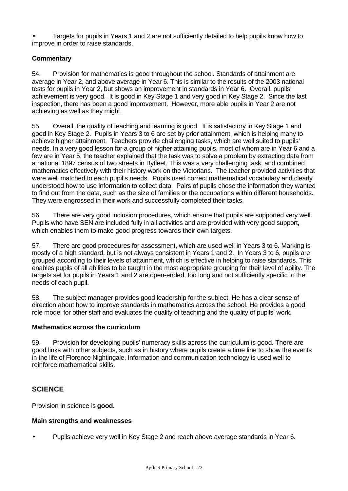• Targets for pupils in Years 1 and 2 are not sufficiently detailed to help pupils know how to improve in order to raise standards.

# **Commentary**

54. Provision for mathematics is good throughout the school**.** Standards of attainment are average in Year 2, and above average in Year 6. This is similar to the results of the 2003 national tests for pupils in Year 2, but shows an improvement in standards in Year 6. Overall, pupils' achievement is very good. It is good in Key Stage 1 and very good in Key Stage 2. Since the last inspection, there has been a good improvement. However, more able pupils in Year 2 are not achieving as well as they might.

55. Overall, the quality of teaching and learning is good. It is satisfactory in Key Stage 1 and good in Key Stage 2. Pupils in Years 3 to 6 are set by prior attainment, which is helping many to achieve higher attainment. Teachers provide challenging tasks, which are well suited to pupils' needs. In a very good lesson for a group of higher attaining pupils, most of whom are in Year 6 and a few are in Year 5, the teacher explained that the task was to solve a problem by extracting data from a national 1897 census of two streets in Byfleet. This was a very challenging task, and combined mathematics effectively with their history work on the Victorians. The teacher provided activities that were well matched to each pupil's needs. Pupils used correct mathematical vocabulary and clearly understood how to use information to collect data. Pairs of pupils chose the information they wanted to find out from the data, such as the size of families or the occupations within different households. They were engrossed in their work and successfully completed their tasks.

56. There are very good inclusion procedures, which ensure that pupils are supported very well. Pupils who have SEN are included fully in all activities and are provided with very good support**,** which enables them to make good progress towards their own targets.

57. There are good procedures for assessment, which are used well in Years 3 to 6. Marking is mostly of a high standard, but is not always consistent in Years 1 and 2. In Years 3 to 6, pupils are grouped according to their levels of attainment, which is effective in helping to raise standards. This enables pupils of all abilities to be taught in the most appropriate grouping for their level of ability. The targets set for pupils in Years 1 and 2 are open-ended, too long and not sufficiently specific to the needs of each pupil.

58. The subject manager provides good leadership for the subject. He has a clear sense of direction about how to improve standards in mathematics across the school. He provides a good role model for other staff and evaluates the quality of teaching and the quality of pupils' work.

# **Mathematics across the curriculum**

59. Provision for developing pupils' numeracy skills across the curriculum is good. There are good links with other subjects, such as in history where pupils create a time line to show the events in the life of Florence Nightingale. Information and communication technology is used well to reinforce mathematical skills.

# **SCIENCE**

Provision in science is **good.**

# **Main strengths and weaknesses**

• Pupils achieve very well in Key Stage 2 and reach above average standards in Year 6.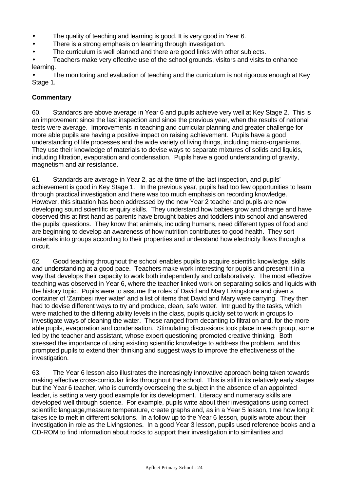- The quality of teaching and learning is good. It is very good in Year 6.
- There is a strong emphasis on learning through investigation.
- The curriculum is well planned and there are good links with other subjects.
- Teachers make very effective use of the school grounds, visitors and visits to enhance learning.

• The monitoring and evaluation of teaching and the curriculum is not rigorous enough at Key Stage 1.

#### **Commentary**

60. Standards are above average in Year 6 and pupils achieve very well at Key Stage 2. This is an improvement since the last inspection and since the previous year, when the results of national tests were average. Improvements in teaching and curricular planning and greater challenge for more able pupils are having a positive impact on raising achievement. Pupils have a good understanding of life processes and the wide variety of living things, including micro-organisms. They use their knowledge of materials to devise ways to separate mixtures of solids and liquids, including filtration, evaporation and condensation. Pupils have a good understanding of gravity, magnetism and air resistance.

61. Standards are average in Year 2, as at the time of the last inspection, and pupils' achievement is good in Key Stage 1. In the previous year, pupils had too few opportunities to learn through practical investigation and there was too much emphasis on recording knowledge. However, this situation has been addressed by the new Year 2 teacher and pupils are now developing sound scientific enquiry skills. They understand how babies grow and change and have observed this at first hand as parents have brought babies and toddlers into school and answered the pupils' questions. They know that animals, including humans, need different types of food and are beginning to develop an awareness of how nutrition contributes to good health. They sort materials into groups according to their properties and understand how electricity flows through a circuit.

62. Good teaching throughout the school enables pupils to acquire scientific knowledge, skills and understanding at a good pace. Teachers make work interesting for pupils and present it in a way that develops their capacity to work both independently and collaboratively. The most effective teaching was observed in Year 6, where the teacher linked work on separating solids and liquids with the history topic. Pupils were to assume the roles of David and Mary Livingstone and given a container of 'Zambesi river water' and a list of items that David and Mary were carrying. They then had to devise different ways to try and produce, clean, safe water. Intrigued by the tasks, which were matched to the differing ability levels in the class, pupils quickly set to work in groups to investigate ways of cleaning the water. These ranged from decanting to filtration and, for the more able pupils, evaporation and condensation. Stimulating discussions took place in each group, some led by the teacher and assistant, whose expert questioning promoted creative thinking. Both stressed the importance of using existing scientific knowledge to address the problem, and this prompted pupils to extend their thinking and suggest ways to improve the effectiveness of the investigation.

63. The Year 6 lesson also illustrates the increasingly innovative approach being taken towards making effective cross-curricular links throughout the school. This is still in its relatively early stages but the Year 6 teacher, who is currently overseeing the subject in the absence of an appointed leader, is setting a very good example for its development. Literacy and numeracy skills are developed well through science. For example, pupils write about their investigations using correct scientific language,measure temperature, create graphs and, as in a Year 5 lesson, time how long it takes ice to melt in different solutions. In a follow up to the Year 6 lesson, pupils wrote about their investigation in role as the Livingstones. In a good Year 3 lesson, pupils used reference books and a CD-ROM to find information about rocks to support their investigation into similarities and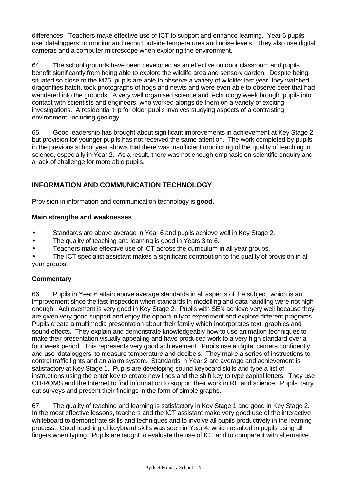differences. Teachers make effective use of ICT to support and enhance learning. Year 6 pupils use 'dataloggers' to monitor and record outside temperatures and noise levels. They also use digital cameras and a computer microscope when exploring the environment.

64. The school grounds have been developed as an effective outdoor classroom and pupils benefit significantly from being able to explore the wildlife area and sensory garden. Despite being situated so close to the M25, pupils are able to observe a variety of wildlife: last year, they watched dragonflies hatch, took photographs of frogs and newts and were even able to observe deer that had wandered into the grounds. A very well organised science and technology week brought pupils into contact with scientists and engineers, who worked alongside them on a variety of exciting investigations. A residential trip for older pupils involves studying aspects of a contrasting environment, including geology.

65. Good leadership has brought about significant improvements in achievement at Key Stage 2, but provision for younger pupils has not received the same attention. The work completed by pupils in the previous school year shows that there was insufficient monitoring of the quality of teaching in science, especially in Year 2. As a result, there was not enough emphasis on scientific enquiry and a lack of challenge for more able pupils.

# **INFORMATION AND COMMUNICATION TECHNOLOGY**

Provision in information and communication technology is **good.**

# **Main strengths and weaknesses**

- Standards are above average in Year 6 and pupils achieve well in Key Stage 2.
- The quality of teaching and learning is good in Years 3 to 6.
- Teachers make effective use of ICT across the curriculum in all year groups.

• The ICT specialist assistant makes a significant contribution to the quality of provision in all year groups.

# **Commentary**

66. Pupils in Year 6 attain above average standards in all aspects of the subject, which is an improvement since the last inspection when standards in modelling and data handling were not high enough. Achievement is very good in Key Stage 2. Pupils with SEN achieve very well because they are given very good support and enjoy the opportunity to experiment and explore different programs. Pupils create a multimedia presentation about their family which incorporates text, graphics and sound effects. They explain and demonstrate knowledgeably how to use animation techniques to make their presentation visually appealing and have produced work to a very high standard over a four week period. This represents very good achievement. Pupils use a digital camera confidently, and use 'dataloggers' to measure temperature and decibels. They make a series of instructions to control traffic lights and an alarm system. Standards in Year 2 are average and achievement is satisfactory at Key Stage 1. Pupils are developing sound keyboard skills and type a list of instructions using the enter key to create new lines and the shift key to type capital letters. They use CD-ROMS and the Internet to find information to support their work in RE and science. Pupils carry out surveys and present their findings in the form of simple graphs.

67. The quality of teaching and learning is satisfactory in Key Stage 1 and good in Key Stage 2. In the most effective lessons, teachers and the ICT assistant make very good use of the interactive whiteboard to demonstrate skills and techniques and to involve all pupils productively in the learning process. Good teaching of keyboard skills was seen in Year 4, which resulted in pupils using all fingers when typing. Pupils are taught to evaluate the use of ICT and to compare it with alternative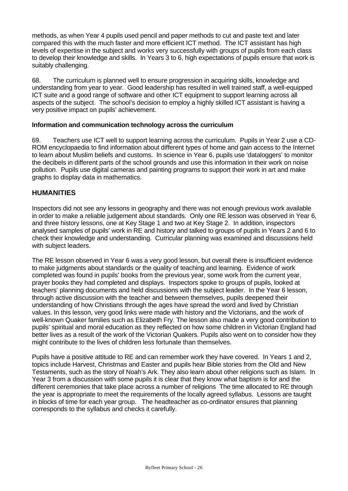methods, as when Year 4 pupils used pencil and paper methods to cut and paste text and later compared this with the much faster and more efficient ICT method. The ICT assistant has high levels of expertise in the subject and works very successfully with groups of pupils from each class to develop their knowledge and skills. In Years 3 to 6, high expectations of pupils ensure that work is suitably challenging.

68. The curriculum is planned well to ensure progression in acquiring skills, knowledge and understanding from year to year. Good leadership has resulted in well trained staff, a well-equipped ICT suite and a good range of software and other ICT equipment to support learning across all aspects of the subject. The school's decision to employ a highly skilled ICT assistant is having a very positive impact on pupils' achievement.

#### **Information and communication technology across the curriculum**

69. Teachers use ICT well to support learning across the curriculum. Pupils in Year 2 use a CD-ROM encyclopaedia to find information about different types of home and gain access to the Internet to learn about Muslim beliefs and customs. In science in Year 6, pupils use 'dataloggers' to monitor the decibels in different parts of the school grounds and use this information in their work on noise pollution. Pupils use digital cameras and painting programs to support their work in art and make graphs to display data in mathematics.

# **HUMANITIES**

Inspectors did not see any lessons in geography and there was not enough previous work available in order to make a reliable judgement about standards. Only one RE lesson was observed in Year 6, and three history lessons, one at Key Stage 1 and two at Key Stage 2. In addition, inspectors analysed samples of pupils' work in RE and history and talked to groups of pupils in Years 2 and 6 to check their knowledge and understanding. Curricular planning was examined and discussions held with subject leaders.

The RE lesson observed in Year 6 was a very good lesson, but overall there is insufficient evidence to make judgments about standards or the quality of teaching and learning. Evidence of work completed was found in pupils' books from the previous year, some work from the current year, prayer books they had completed and displays. Inspectors spoke to groups of pupils, looked at teachers' planning documents and held discussions with the subject leader. In the Year 6 lesson, through active discussion with the teacher and between themselves, pupils deepened their understanding of how Christians through the ages have spread the word and lived by Christian values. In this lesson, very good links were made with history and the Victorians, and the work of well-known Quaker families such as Elizabeth Fry. The lesson also made a very good contribution to pupils' spiritual and moral education as they reflected on how some children in Victorian England had better lives as a result of the work of the Victorian Quakers. Pupils also went on to consider how they might contribute to the lives of children less fortunate than themselves.

Pupils have a positive attitude to RE and can remember work they have covered. In Years 1 and 2, topics include Harvest, Christmas and Easter and pupils hear Bible stories from the Old and New Testaments, such as the story of Noah's Ark. They also learn about other religions such as Islam. In Year 3 from a discussion with some pupils it is clear that they know what baptism is for and the different ceremonies that take place across a number of religions The time allocated to RE through the year is appropriate to meet the requirements of the locally agreed syllabus. Lessons are taught in blocks of time for each year group. The headteacher as co-ordinator ensures that planning corresponds to the syllabus and checks it carefully.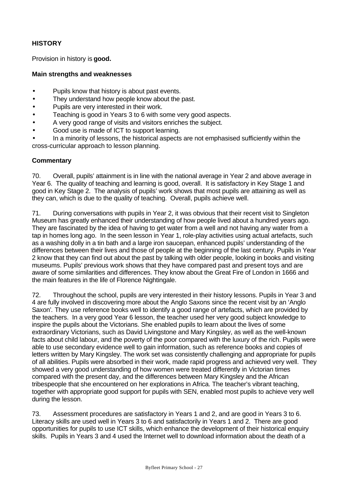# **HISTORY**

Provision in history is **good.**

#### **Main strengths and weaknesses**

- Pupils know that history is about past events.
- They understand how people know about the past.
- Pupils are very interested in their work.
- Teaching is good in Years 3 to 6 with some very good aspects.
- A very good range of visits and visitors enriches the subject.
- Good use is made of ICT to support learning.

• In a minority of lessons, the historical aspects are not emphasised sufficiently within the cross-curricular approach to lesson planning.

#### **Commentary**

70. Overall, pupils' attainment is in line with the national average in Year 2 and above average in Year 6. The quality of teaching and learning is good, overall. It is satisfactory in Key Stage 1 and good in Key Stage 2. The analysis of pupils' work shows that most pupils are attaining as well as they can, which is due to the quality of teaching. Overall, pupils achieve well.

71. During conversations with pupils in Year 2, it was obvious that their recent visit to Singleton Museum has greatly enhanced their understanding of how people lived about a hundred years ago. They are fascinated by the idea of having to get water from a well and not having any water from a tap in homes long ago. In the seen lesson in Year 1, role-play activities using actual artefacts, such as a washing dolly in a tin bath and a large iron saucepan, enhanced pupils' understanding of the differences between their lives and those of people at the beginning of the last century. Pupils in Year 2 know that they can find out about the past by talking with older people, looking in books and visiting museums. Pupils' previous work shows that they have compared past and present toys and are aware of some similarities and differences. They know about the Great Fire of London in 1666 and the main features in the life of Florence Nightingale.

72. Throughout the school, pupils are very interested in their history lessons. Pupils in Year 3 and 4 are fully involved in discovering more about the Anglo Saxons since the recent visit by an 'Anglo Saxon'*.* They use reference books well to identify a good range of artefacts, which are provided by the teachers. In a very good Year 6 lesson, the teacher used her very good subject knowledge to inspire the pupils about the Victorians. She enabled pupils to learn about the lives of some extraordinary Victorians, such as David Livingstone and Mary Kingsley, as well as the well-known facts about child labour, and the poverty of the poor compared with the luxury of the rich. Pupils were able to use secondary evidence well to gain information, such as reference books and copies of letters written by Mary Kingsley. The work set was consistently challenging and appropriate for pupils of all abilities. Pupils were absorbed in their work, made rapid progress and achieved very well. They showed a very good understanding of how women were treated differently in Victorian times compared with the present day, and the differences between Mary Kingsley and the African tribespeople that she encountered on her explorations in Africa. The teacher's vibrant teaching, together with appropriate good support for pupils with SEN, enabled most pupils to achieve very well during the lesson.

73. Assessment procedures are satisfactory in Years 1 and 2, and are good in Years 3 to 6. Literacy skills are used well in Years 3 to 6 and satisfactorily in Years 1 and 2. There are good opportunities for pupils to use ICT skills, which enhance the development of their historical enquiry skills. Pupils in Years 3 and 4 used the Internet well to download information about the death of a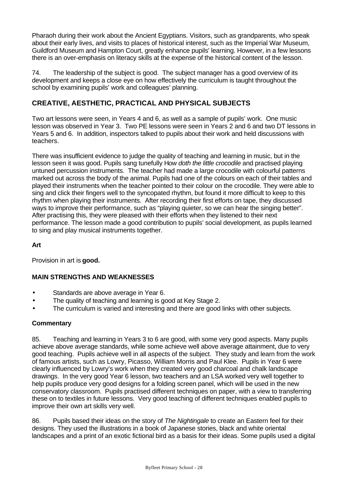Pharaoh during their work about the Ancient Egyptians. Visitors, such as grandparents, who speak about their early lives, and visits to places of historical interest, such as the Imperial War Museum, Guildford Museum and Hampton Court, greatly enhance pupils' learning. However, in a few lessons there is an over-emphasis on literacy skills at the expense of the historical content of the lesson.

74. The leadership of the subject is good. The subject manager has a good overview of its development and keeps a close eye on how effectively the curriculum is taught throughout the school by examining pupils' work and colleagues' planning.

# **CREATIVE, AESTHETIC, PRACTICAL AND PHYSICAL SUBJECTS**

Two art lessons were seen, in Years 4 and 6, as well as a sample of pupils' work. One music lesson was observed in Year 3. Two PE lessons were seen in Years 2 and 6 and two DT lessons in Years 5 and 6. In addition, inspectors talked to pupils about their work and held discussions with teachers.

There was insufficient evidence to judge the quality of teaching and learning in music, but in the lesson seen it was good. Pupils sang tunefully H*ow doth the little crocodile* and practised playing untuned percussion instruments. The teacher had made a large crocodile with colourful patterns marked out across the body of the animal. Pupils had one of the colours on each of their tables and played their instruments when the teacher pointed to their colour on the crocodile. They were able to sing and click their fingers well to the syncopated rhythm, but found it more difficult to keep to this rhythm when playing their instruments. After recording their first efforts on tape, they discussed ways to improve their performance, such as "playing quieter, so we can hear the singing better". After practising this, they were pleased with their efforts when they listened to their next performance. The lesson made a good contribution to pupils' social development, as pupils learned to sing and play musical instruments together.

# **Art**

Provision in art is **good.**

# **MAIN STRENGTHS AND WEAKNESSES**

- Standards are above average in Year 6.
- The quality of teaching and learning is good at Key Stage 2.
- The curriculum is varied and interesting and there are good links with other subjects.

#### **Commentary**

85. Teaching and learning in Years 3 to 6 are good, with some very good aspects. Many pupils achieve above average standards, while some achieve well above average attainment, due to very good teaching. Pupils achieve well in all aspects of the subject. They study and learn from the work of famous artists, such as Lowry, Picasso, William Morris and Paul Klee. Pupils in Year 6 were clearly influenced by Lowry's work when they created very good charcoal and chalk landscape drawings. In the very good Year 6 lesson, two teachers and an LSA worked very well together to help pupils produce very good designs for a folding screen panel, which will be used in the new conservatory classroom. Pupils practised different techniques on paper, with a view to transferring these on to textiles in future lessons. Very good teaching of different techniques enabled pupils to improve their own art skills very well.

86. Pupils based their ideas on the story of *The Nightingale* to create an Eastern feel for their designs. They used the illustrations in a book of Japanese stories, black and white oriental landscapes and a print of an exotic fictional bird as a basis for their ideas. Some pupils used a digital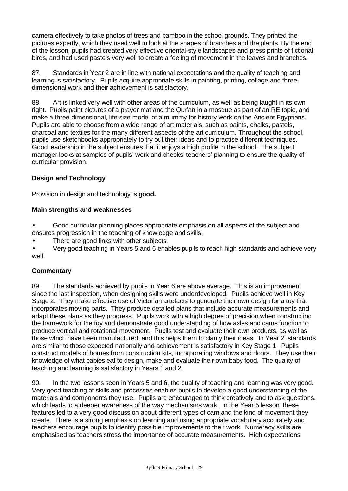camera effectively to take photos of trees and bamboo in the school grounds. They printed the pictures expertly, which they used well to look at the shapes of branches and the plants. By the end of the lesson, pupils had created very effective oriental-style landscapes and press prints of fictional birds, and had used pastels very well to create a feeling of movement in the leaves and branches.

87. Standards in Year 2 are in line with national expectations and the quality of teaching and learning is satisfactory. Pupils acquire appropriate skills in painting, printing, collage and threedimensional work and their achievement is satisfactory.

88. Art is linked very well with other areas of the curriculum, as well as being taught in its own right. Pupils paint pictures of a prayer mat and the Qur'an in a mosque as part of an RE topic, and make a three-dimensional, life size model of a mummy for history work on the Ancient Egyptians. Pupils are able to choose from a wide range of art materials, such as paints, chalks, pastels, charcoal and textiles for the many different aspects of the art curriculum. Throughout the school, pupils use sketchbooks appropriately to try out their ideas and to practise different techniques. Good leadership in the subject ensures that it enjoys a high profile in the school. The subject manager looks at samples of pupils' work and checks' teachers' planning to ensure the quality of curricular provision.

# **Design and Technology**

Provision in design and technology is **good.**

#### **Main strengths and weaknesses**

• Good curricular planning places appropriate emphasis on all aspects of the subject and ensures progression in the teaching of knowledge and skills.

There are good links with other subjects.

• Very good teaching in Years 5 and 6 enables pupils to reach high standards and achieve very well.

#### **Commentary**

89. The standards achieved by pupils in Year 6 are above average. This is an improvement since the last inspection, when designing skills were underdeveloped. Pupils achieve well in Key Stage 2. They make effective use of Victorian artefacts to generate their own design for a toy that incorporates moving parts. They produce detailed plans that include accurate measurements and adapt these plans as they progress. Pupils work with a high degree of precision when constructing the framework for the toy and demonstrate good understanding of how axles and cams function to produce vertical and rotational movement. Pupils test and evaluate their own products, as well as those which have been manufactured, and this helps them to clarify their ideas. In Year 2, standards are similar to those expected nationally and achievement is satisfactory in Key Stage 1. Pupils construct models of homes from construction kits, incorporating windows and doors. They use their knowledge of what babies eat to design, make and evaluate their own baby food. The quality of teaching and learning is satisfactory in Years 1 and 2.

90. In the two lessons seen in Years 5 and 6, the quality of teaching and learning was very good. Very good teaching of skills and processes enables pupils to develop a good understanding of the materials and components they use. Pupils are encouraged to think creatively and to ask questions, which leads to a deeper awareness of the way mechanisms work. In the Year 5 lesson, these features led to a very good discussion about different types of cam and the kind of movement they create. There is a strong emphasis on learning and using appropriate vocabulary accurately and teachers encourage pupils to identify possible improvements to their work. Numeracy skills are emphasised as teachers stress the importance of accurate measurements. High expectations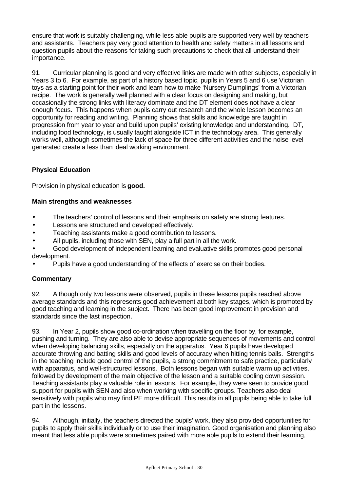ensure that work is suitably challenging, while less able pupils are supported very well by teachers and assistants. Teachers pay very good attention to health and safety matters in all lessons and question pupils about the reasons for taking such precautions to check that all understand their importance.

91. Curricular planning is good and very effective links are made with other subjects, especially in Years 3 to 6. For example, as part of a history based topic, pupils in Years 5 and 6 use Victorian toys as a starting point for their work and learn how to make 'Nursery Dumplings' from a Victorian recipe. The work is generally well planned with a clear focus on designing and making, but occasionally the strong links with literacy dominate and the DT element does not have a clear enough focus. This happens when pupils carry out research and the whole lesson becomes an opportunity for reading and writing. Planning shows that skills and knowledge are taught in progression from year to year and build upon pupils' existing knowledge and understanding. DT, including food technology, is usually taught alongside ICT in the technology area. This generally works well, although sometimes the lack of space for three different activities and the noise level generated create a less than ideal working environment.

# **Physical Education**

Provision in physical education is **good.**

# **Main strengths and weaknesses**

- The teachers' control of lessons and their emphasis on safety are strong features.
- Lessons are structured and developed effectively.
- Teaching assistants make a good contribution to lessons.
- All pupils, including those with SEN, play a full part in all the work.
- Good development of independent learning and evaluative skills promotes good personal development.
- Pupils have a good understanding of the effects of exercise on their bodies.

# **Commentary**

92. Although only two lessons were observed, pupils in these lessons pupils reached above average standards and this represents good achievement at both key stages, which is promoted by good teaching and learning in the subject. There has been good improvement in provision and standards since the last inspection.

93. In Year 2, pupils show good co-ordination when travelling on the floor by, for example, pushing and turning. They are also able to devise appropriate sequences of movements and control when developing balancing skills, especially on the apparatus. Year 6 pupils have developed accurate throwing and batting skills and good levels of accuracy when hitting tennis balls. Strengths in the teaching include good control of the pupils, a strong commitment to safe practice, particularly with apparatus, and well-structured lessons. Both lessons began with suitable warm up activities, followed by development of the main objective of the lesson and a suitable cooling down session. Teaching assistants play a valuable role in lessons. For example, they were seen to provide good support for pupils with SEN and also when working with specific groups. Teachers also deal sensitively with pupils who may find PE more difficult. This results in all pupils being able to take full part in the lessons.

94. Although, initially, the teachers directed the pupils' work, they also provided opportunities for pupils to apply their skills individually or to use their imagination. Good organisation and planning also meant that less able pupils were sometimes paired with more able pupils to extend their learning,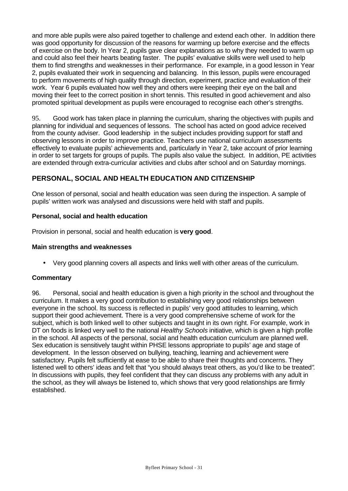and more able pupils were also paired together to challenge and extend each other. In addition there was good opportunity for discussion of the reasons for warming up before exercise and the effects of exercise on the body. In Year 2, pupils gave clear explanations as to why they needed to warm up and could also feel their hearts beating faster. The pupils' evaluative skills were well used to help them to find strengths and weaknesses in their performance. For example, in a good lesson in Year 2, pupils evaluated their work in sequencing and balancing. In this lesson, pupils were encouraged to perform movements of high quality through direction, experiment, practice and evaluation of their work. Year 6 pupils evaluated how well they and others were keeping their eye on the ball and moving their feet to the correct position in short tennis. This resulted in good achievement and also promoted spiritual development as pupils were encouraged to recognise each other's strengths.

95. Good work has taken place in planning the curriculum, sharing the objectives with pupils and planning for individual and sequences of lessons. The school has acted on good advice received from the county adviser. Good leadership in the subject includes providing support for staff and observing lessons in order to improve practice. Teachers use national curriculum assessments effectively to evaluate pupils' achievements and, particularly in Year 2, take account of prior learning in order to set targets for groups of pupils. The pupils also value the subject. In addition, PE activities are extended through extra-curricular activities and clubs after school and on Saturday mornings.

# **PERSONAL, SOCIAL AND HEALTH EDUCATION AND CITIZENSHIP**

One lesson of personal, social and health education was seen during the inspection. A sample of pupils' written work was analysed and discussions were held with staff and pupils.

#### **Personal, social and health education**

Provision in personal, social and health education is **very good**.

#### **Main strengths and weaknesses**

• Very good planning covers all aspects and links well with other areas of the curriculum.

#### **Commentary**

96. Personal, social and health education is given a high priority in the school and throughout the curriculum. It makes a very good contribution to establishing very good relationships between everyone in the school. Its success is reflected in pupils' very good attitudes to learning, which support their good achievement. There is a very good comprehensive scheme of work for the subject, which is both linked well to other subjects and taught in its own right. For example, work in DT on foods is linked very well to the national *Healthy Schools* initiative, which is given a high profile in the school. All aspects of the personal, social and health education curriculum are planned well. Sex education is sensitively taught within PHSE lessons appropriate to pupils' age and stage of development. In the lesson observed on bullying, teaching, learning and achievement were satisfactory. Pupils felt sufficiently at ease to be able to share their thoughts and concerns. They listened well to others' ideas and felt that "you should always treat others, as you'd like to be treated*".* In discussions with pupils, they feel confident that they can discuss any problems with any adult in the school, as they will always be listened to, which shows that very good relationships are firmly established.